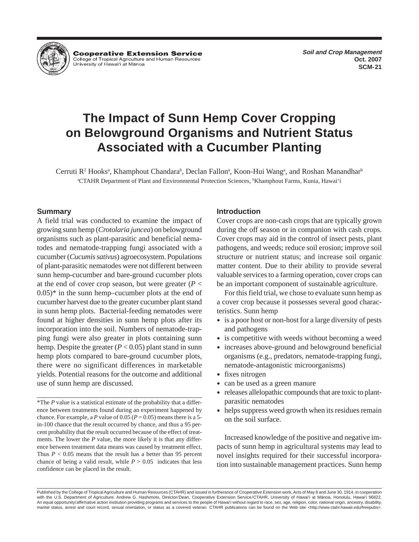**Cooperative Extension Service** College of Tropical Agriculture and Human Resources University of Hawai'i at Mānoa

# **The Impact of Sunn Hemp Cover Cropping on Belowground Organisms and Nutrient Status Associated with a Cucumber Planting**

Cerruti R<sup>2</sup> Hooks<sup>a</sup>, Khamphout Chandara<sup>b</sup>, Declan Fallon<sup>a</sup>, Koon-Hui Wang<sup>a</sup>, and Roshan Manandhar<sup>b</sup> a CTAHR Department of Plant and Environmental Protection Sciences, b Khamphout Farms, Kunia, Hawai'i

# **Summary**

A field trial was conducted to examine the impact of growing sunn hemp (*Crotolaria juncea*) on belowground organisms such as plant-parasitic and beneficial nematodes and nematode-trapping fungi associated with a cucumber (*Cucumis sativus*) agroecosystem. Populations of plant-parasitic nematodes were not different between sunn hemp-cucumber and bare-ground cucumber plots at the end of cover crop season, but were greater  $(P <$  $(0.05)^*$  in the sunn hemp–cucumber plots at the end of cucumber harvest due to the greater cucumber plant stand in sunn hemp plots. Bacterial-feeding nematodes were found at higher densities in sunn hemp plots after its incorporation into the soil. Numbers of nematode-trapping fungi were also greater in plots containing sunn hemp. Despite the greater  $(P < 0.05)$  plant stand in sunn hemp plots compared to bare-ground cucumber plots, there were no significant differences in marketable yields. Potential reasons for the outcome and additional use of sunn hemp are discussed.

# **Introduction**

Cover crops are non-cash crops that are typically grown during the off season or in companion with cash crops. Cover crops may aid in the control of insect pests, plant pathogens, and weeds; reduce soil erosion; improve soil structure or nutrient status; and increase soil organic matter content. Due to their ability to provide several valuable services to a farming operation, cover crops can be an important component of sustainable agriculture.

For this field trial, we chose to evaluate sunn hemp as a cover crop because it possesses several good characteristics. Sunn hemp

- is a poor host or non-host for a large diversity of pests and pathogens
- is competitive with weeds without becoming a weed
- increases above-ground and belowground beneficial organisms (e.g., predators, nematode-trapping fungi, nematode-antagonistic microorganisms)
- fixes nitrogen
- can be used as a green manure
- releases allelopathic compounds that are toxic to plantparasitic nematodes
- helps suppress weed growth when its residues remain on the soil surface.

Increased knowledge of the positive and negative impacts of sunn hemp in agricultural systems may lead to novel insights required for their successful incorporation into sustainable management practices. Sunn hemp

<sup>\*</sup>The *P* value is a statistical estimate of the probability that a difference between treatments found during an experiment happened by chance. For example, a *P* value of 0.05 ( $P = 0.05$ ) means there is a 5in-100 chance that the result occurred by chance, and thus a 95 percent probability that the result occurred because of the effect of treatments. The lower the *P* value, the more likely it is that any difference between treatment data means was caused by treatment effect. Thus *P* < 0.05 means that the result has a better than 95 percent chance of being a valid result, while  $P > 0.05$  indicates that less confidence can be placed in the result.

Published by the College of Tropical Agriculture and Human Resources (CTAHR) and issued in furtherance of Cooperative Extension work, Acts of May 8 and June 30, 1914, in cooperation with the U.S. Department of Agriculture. Andrew G. Hashimoto, Director/Dean, Cooperative Extension Service/CTAHR, University of Hawai'i at Mänoa, Honolulu, Hawai'i 96822. An equal opportunity/affirmative action institution providing programs and services to the people of Hawai'i without regard to race, sex, age, religion, color, national origin, ancestry, disability, marital status, arrest and court record, sexual orientation, or status as a covered veteran. CTAHR publications can be found on the Web site <http://www.ctahr.hawaii.edu/freepubs>.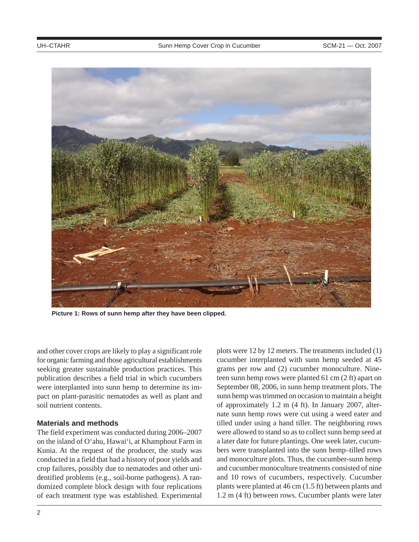

**Picture 1: Rows of sunn hemp after they have been clipped.**

and other cover crops are likely to play a significant role for organic farming and those agricultural establishments seeking greater sustainable production practices. This publication describes a field trial in which cucumbers were interplanted into sunn hemp to determine its impact on plant-parasitic nematodes as well as plant and soil nutrient contents.

# **Materials and methods**

The field experiment was conducted during 2006–2007 on the island of O'ahu, Hawai'i, at Khamphout Farm in Kunia. At the request of the producer, the study was conducted in a field that had a history of poor yields and crop failures, possibly due to nematodes and other unidentified problems (e.g., soil-borne pathogens). A randomized complete block design with four replications of each treatment type was established. Experimental plots were 12 by 12 meters. The treatments included (1) cucumber interplanted with sunn hemp seeded at 45 grams per row and (2) cucumber monoculture. Nineteen sunn hemp rows were planted 61 cm (2 ft) apart on September 08, 2006, in sunn hemp treatment plots. The sunn hemp was trimmed on occasion to maintain a height of approximately 1.2 m (4 ft). In January 2007, alternate sunn hemp rows were cut using a weed eater and tilled under using a hand tiller. The neighboring rows were allowed to stand so as to collect sunn hemp seed at a later date for future plantings. One week later, cucumbers were transplanted into the sunn hemp–tilled rows and monoculture plots. Thus, the cucumber-sunn hemp and cucumber monoculture treatments consisted of nine and 10 rows of cucumbers, respectively. Cucumber plants were planted at 46 cm (1.5 ft) between plants and 1.2 m (4 ft) between rows. Cucumber plants were later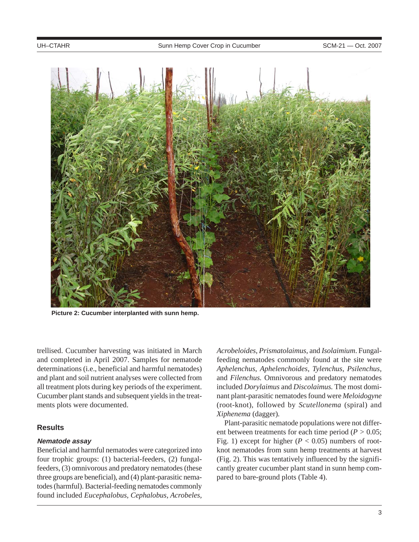

**Picture 2: Cucumber interplanted with sunn hemp.**

trellised. Cucumber harvesting was initiated in March and completed in April 2007. Samples for nematode determinations (i.e., beneficial and harmful nematodes) and plant and soil nutrient analyses were collected from all treatment plots during key periods of the experiment. Cucumber plant stands and subsequent yields in the treatments plots were documented.

# **Results**

# **Nematode assay**

Beneficial and harmful nematodes were categorized into four trophic groups: (1) bacterial-feeders, (2) fungalfeeders, (3) omnivorous and predatory nematodes (these three groups are beneficial), and (4) plant-parasitic nematodes (harmful). Bacterial-feeding nematodes commonly found included *Eucephalobus, Cephalobus, Acrobeles,*

*Acrobeloides*, *Prismatolaimus*, and *Isolaimium*. Fungalfeeding nematodes commonly found at the site were *Aphelenchus*, *Aphelenchoides, Tylenchus, Psilenchus,* and *Filenchus.* Omnivorous and predatory nematodes included *Dorylaimus* and *Discolaimus.* The most dominant plant-parasitic nematodes found were *Meloidogyne* (root-knot), followed by *Scutellonema* (spiral) and *Xiphenema* (dagger)*.*

Plant-parasitic nematode populations were not different between treatments for each time period (*P >* 0.05; Fig. 1) except for higher ( $P < 0.05$ ) numbers of rootknot nematodes from sunn hemp treatments at harvest (Fig. 2). This was tentatively influenced by the significantly greater cucumber plant stand in sunn hemp compared to bare-ground plots (Table 4).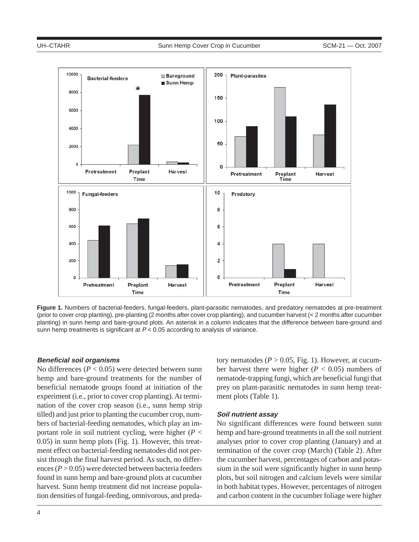

**Figure 1.** Numbers of bacterial-feeders, fungal-feeders, plant-parasitic nematodes, and predatory nematodes at pre-treatment (prior to cover crop planting), pre-planting (2 months after cover crop planting), and cucumber harvest (< 2 months after cucumber planting) in sunn hemp and bare-ground plots. An asterisk in a column indicates that the difference between bare-ground and sunn hemp treatments is significant at  $P < 0.05$  according to analysis of variance.

#### **Beneficial soil organisms**

No differences  $(P < 0.05)$  were detected between sunn hemp and bare-ground treatments for the number of beneficial nematode groups found at initiation of the experiment (i.e., prior to cover crop planting). At termination of the cover crop season (i.e., sunn hemp strip tilled) and just prior to planting the cucumber crop, numbers of bacterial-feeding nematodes, which play an important role in soil nutrient cycling, were higher (*P* < 0.05) in sunn hemp plots (Fig. 1). However, this treatment effect on bacterial-feeding nematodes did not persist through the final harvest period. As such, no differences  $(P > 0.05)$  were detected between bacteria feeders found in sunn hemp and bare-ground plots at cucumber harvest. Sunn hemp treatment did not increase population densities of fungal-feeding, omnivorous, and predatory nematodes ( $P > 0.05$ , Fig. 1). However, at cucumber harvest there were higher ( $P < 0.05$ ) numbers of nematode-trapping fungi, which are beneficial fungi that prey on plant-parasitic nematodes in sunn hemp treatment plots (Table 1).

## **Soil nutrient assay**

No significant differences were found between sunn hemp and bare-ground treatments in all the soil nutrient analyses prior to cover crop planting (January) and at termination of the cover crop (March) (Table 2). After the cucumber harvest, percentages of carbon and potassium in the soil were significantly higher in sunn hemp plots, but soil nitrogen and calcium levels were similar in both habitat types. However, percentages of nitrogen and carbon content in the cucumber foliage were higher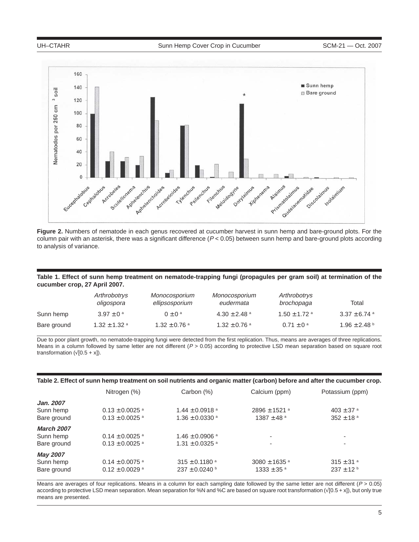

**Figure 2.** Numbers of nematode in each genus recovered at cucumber harvest in sunn hemp and bare-ground plots. For the column pair with an asterisk, there was a significant difference  $(P < 0.05)$  between sunn hemp and bare-ground plots according to analysis of variance.

**Table 1. Effect of sunn hemp treatment on nematode-trapping fungi (propagules per gram soil) at termination of the cucumber crop, 27 April 2007.**

|             | Arthrobotrys<br>oligospora | Monocosporium<br>ellipsosporium | Monocosporium<br>eudermata   | Arthrobotrys<br>brochopaga | Total                        |
|-------------|----------------------------|---------------------------------|------------------------------|----------------------------|------------------------------|
| Sunn hemp   | $3.97 \pm 0^{\circ}$       | $0 + 0^a$                       | $4.30 \pm 2.48$ <sup>a</sup> | $1.50 \pm 1.72$ a          | $3.37 \pm 6.74$ <sup>a</sup> |
| Bare ground | $1.32 \pm 1.32$ a          | $1.32 \pm 0.76$ <sup>a</sup>    | $1.32 \pm 0.76$ <sup>a</sup> | $0.71 \pm 0^{\circ}$       | $1.96 \pm 2.48$ b            |

Due to poor plant growth, no nematode-trapping fungi were detected from the first replication. Thus, means are averages of three replications. Means in a column followed by same letter are not different  $(P > 0.05)$  according to protective LSD mean separation based on square root transformation  $(\sqrt{[0.5 + x]})$ .

|                   | Nitrogen (%)                   | Carbon (%)                     | Calcium (ppm)                | Potassium (ppm)           |
|-------------------|--------------------------------|--------------------------------|------------------------------|---------------------------|
| Jan. 2007         |                                |                                |                              |                           |
| Sunn hemp         | $0.13 \pm 0.0025$ <sup>a</sup> | $1.44 \pm 0.0918$ <sup>a</sup> | $2896 \pm 1521$ <sup>a</sup> | $403 \pm 37$ <sup>a</sup> |
| Bare ground       | $0.13 \pm 0.0025$ <sup>a</sup> | $1.36 \pm 0.0330$ <sup>a</sup> | $1387 \pm 48$ <sup>a</sup>   | $352 \pm 18$ <sup>a</sup> |
| <b>March 2007</b> |                                |                                |                              |                           |
| Sunn hemp         | $0.14 \pm 0.0025$ <sup>a</sup> | $1.46 \pm 0.0906$ <sup>a</sup> | ٠                            |                           |
| Bare ground       | $0.13 \pm 0.0025$ <sup>a</sup> | $1.31 \pm 0.0325$ <sup>a</sup> | ۰                            | $\overline{\phantom{a}}$  |
| <b>May 2007</b>   |                                |                                |                              |                           |
| Sunn hemp         | $0.14 \pm 0.0075$ <sup>a</sup> | $315 \pm 0.1180$ <sup>a</sup>  | $3080 \pm 1635$ <sup>a</sup> | $315 \pm 31$ <sup>a</sup> |
| Bare ground       | $0.12 \pm 0.0029$ <sup>a</sup> | $237 \pm 0.0240$ b             | $1333 \pm 35$ <sup>a</sup>   | $237 \pm 12^{b}$          |

Means are averages of four replications. Means in a column for each sampling date followed by the same letter are not different ( $P > 0.05$ ) according to protective LSD mean separation. Mean separation for %N and %C are based on square root transformation (√[0.5 + x]), but only true means are presented.

5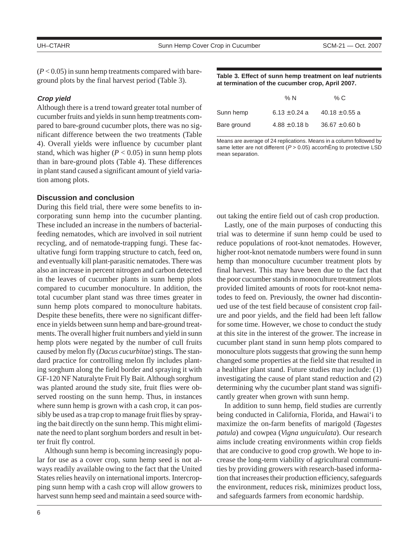$(P<0.05)$  in sunn hemp treatments compared with bareground plots by the final harvest period (Table 3).

## **Crop yield**

Although there is a trend toward greater total number of cucumber fruits and yields in sunn hemp treatments compared to bare-ground cucumber plots, there was no significant difference between the two treatments (Table 4). Overall yields were influence by cucumber plant stand, which was higher  $(P < 0.05)$  in sunn hemp plots than in bare-ground plots (Table 4). These differences in plant stand caused a significant amount of yield variation among plots.

# **Discussion and conclusion**

During this field trial, there were some benefits to incorporating sunn hemp into the cucumber planting. These included an increase in the numbers of bacterialfeeding nematodes, which are involved in soil nutrient recycling, and of nematode-trapping fungi. These facultative fungi form trapping structure to catch, feed on, and eventually kill plant-parasitic nematodes. There was also an increase in percent nitrogen and carbon detected in the leaves of cucumber plants in sunn hemp plots compared to cucumber monoculture. In addition, the total cucumber plant stand was three times greater in sunn hemp plots compared to monoculture habitats. Despite these benefits, there were no significant difference in yields between sunn hemp and bare-ground treatments. The overall higher fruit numbers and yield in sunn hemp plots were negated by the number of cull fruits caused by melon fly (*Dacus cucurbitae*) stings. The standard practice for controlling melon fly includes planting sorghum along the field border and spraying it with GF-120 NF Naturalyte Fruit Fly Bait. Although sorghum was planted around the study site, fruit flies were observed roosting on the sunn hemp. Thus, in instances where sunn hemp is grown with a cash crop, it can possibly be used as a trap crop to manage fruit flies by spraying the bait directly on the sunn hemp. This might eliminate the need to plant sorghum borders and result in better fruit fly control.

Although sunn hemp is becoming increasingly popular for use as a cover crop, sunn hemp seed is not always readily available owing to the fact that the United States relies heavily on international imports. Intercropping sunn hemp with a cash crop will allow growers to harvest sunn hemp seed and maintain a seed source with-

**Table 3. Effect of sunn hemp treatment on leaf nutrients at termination of the cucumber crop, April 2007.**

|             | % $N$             | % C                |
|-------------|-------------------|--------------------|
| Sunn hemp   | $6.13 \pm 0.24$ a | $40.18 \pm 0.55$ a |
| Bare ground | $4.88 \pm 0.18$ b | $36.67 \pm 0.60$ b |

Means are average of 24 replications. Means in a column followed by same letter are not different ( $P > 0.05$ ) accorhÈng to protective LSD mean separation.

out taking the entire field out of cash crop production.

Lastly, one of the main purposes of conducting this trial was to determine if sunn hemp could be used to reduce populations of root-knot nematodes. However, higher root-knot nematode numbers were found in sunn hemp than monoculture cucumber treatment plots by final harvest. This may have been due to the fact that the poor cucumber stands in monoculture treatment plots provided limited amounts of roots for root-knot nematodes to feed on. Previously, the owner had discontinued use of the test field because of consistent crop failure and poor yields, and the field had been left fallow for some time. However, we chose to conduct the study at this site in the interest of the grower. The increase in cucumber plant stand in sunn hemp plots compared to monoculture plots suggests that growing the sunn hemp changed some properties at the field site that resulted in a healthier plant stand. Future studies may include: (1) investigating the cause of plant stand reduction and (2) determining why the cucumber plant stand was significantly greater when grown with sunn hemp.

In addition to sunn hemp, field studies are currently being conducted in California, Florida, and Hawai'i to maximize the on-farm benefits of marigold (*Tagestes patula*) and cowpea (*Vigna unguiculata*). Our research aims include creating environments within crop fields that are conducive to good crop growth. We hope to increase the long-term viability of agricultural communities by providing growers with research-based information that increases their production efficiency, safeguards the environment, reduces risk, minimizes product loss, and safeguards farmers from economic hardship.